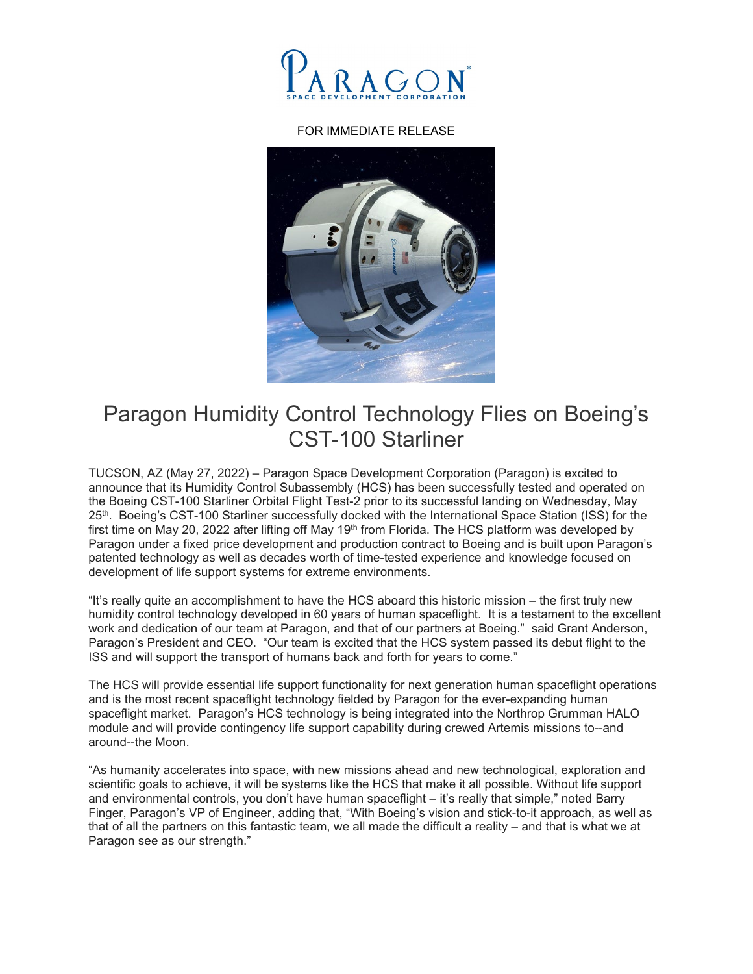

## FOR IMMEDIATE RELEASE



## Paragon Humidity Control Technology Flies on Boeing's CST-100 Starliner

TUCSON, AZ (May 27, 2022) – Paragon Space Development Corporation (Paragon) is excited to announce that its Humidity Control Subassembly (HCS) has been successfully tested and operated on the Boeing CST-100 Starliner Orbital Flight Test-2 prior to its successful landing on Wednesday, May 25<sup>th</sup>. Boeing's CST-100 Starliner successfully docked with the International Space Station (ISS) for the first time on May 20, 2022 after lifting off May 19<sup>th</sup> from Florida. The HCS platform was developed by Paragon under a fixed price development and production contract to Boeing and is built upon Paragon's patented technology as well as decades worth of time-tested experience and knowledge focused on development of life support systems for extreme environments.

"It's really quite an accomplishment to have the HCS aboard this historic mission – the first truly new humidity control technology developed in 60 years of human spaceflight. It is a testament to the excellent work and dedication of our team at Paragon, and that of our partners at Boeing." said Grant Anderson, Paragon's President and CEO. "Our team is excited that the HCS system passed its debut flight to the ISS and will support the transport of humans back and forth for years to come."

The HCS will provide essential life support functionality for next generation human spaceflight operations and is the most recent spaceflight technology fielded by Paragon for the ever-expanding human spaceflight market. Paragon's HCS technology is being integrated into the Northrop Grumman HALO module and will provide contingency life support capability during crewed Artemis missions to--and around--the Moon.

"As humanity accelerates into space, with new missions ahead and new technological, exploration and scientific goals to achieve, it will be systems like the HCS that make it all possible. Without life support and environmental controls, you don't have human spaceflight – it's really that simple," noted Barry Finger, Paragon's VP of Engineer, adding that, "With Boeing's vision and stick-to-it approach, as well as that of all the partners on this fantastic team, we all made the difficult a reality – and that is what we at Paragon see as our strength."